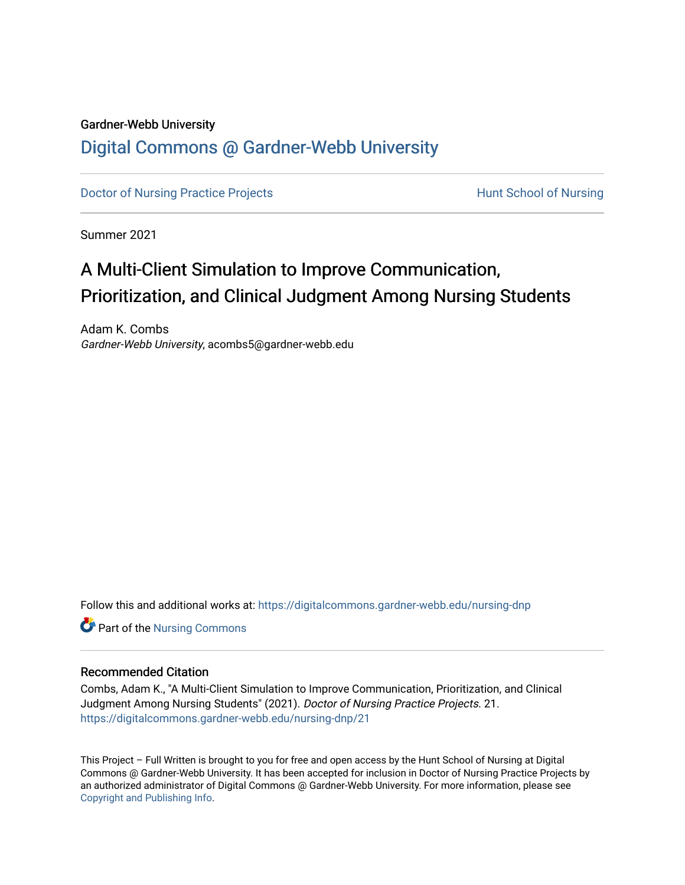## Gardner-Webb University

# [Digital Commons @ Gardner-Webb University](https://digitalcommons.gardner-webb.edu/)

[Doctor of Nursing Practice Projects](https://digitalcommons.gardner-webb.edu/nursing-dnp) **Exercise Exercise Serverse Hunt School of Nursing** 

Summer 2021

# A Multi-Client Simulation to Improve Communication, Prioritization, and Clinical Judgment Among Nursing Students

Adam K. Combs Gardner-Webb University, acombs5@gardner-webb.edu

Follow this and additional works at: [https://digitalcommons.gardner-webb.edu/nursing-dnp](https://digitalcommons.gardner-webb.edu/nursing-dnp?utm_source=digitalcommons.gardner-webb.edu%2Fnursing-dnp%2F21&utm_medium=PDF&utm_campaign=PDFCoverPages) 

**Part of the Nursing Commons** 

#### Recommended Citation

Combs, Adam K., "A Multi-Client Simulation to Improve Communication, Prioritization, and Clinical Judgment Among Nursing Students" (2021). Doctor of Nursing Practice Projects. 21. [https://digitalcommons.gardner-webb.edu/nursing-dnp/21](https://digitalcommons.gardner-webb.edu/nursing-dnp/21?utm_source=digitalcommons.gardner-webb.edu%2Fnursing-dnp%2F21&utm_medium=PDF&utm_campaign=PDFCoverPages)

This Project – Full Written is brought to you for free and open access by the Hunt School of Nursing at Digital Commons @ Gardner-Webb University. It has been accepted for inclusion in Doctor of Nursing Practice Projects by an authorized administrator of Digital Commons @ Gardner-Webb University. For more information, please see [Copyright and Publishing Info.](https://digitalcommons.gardner-webb.edu/copyright_publishing.html)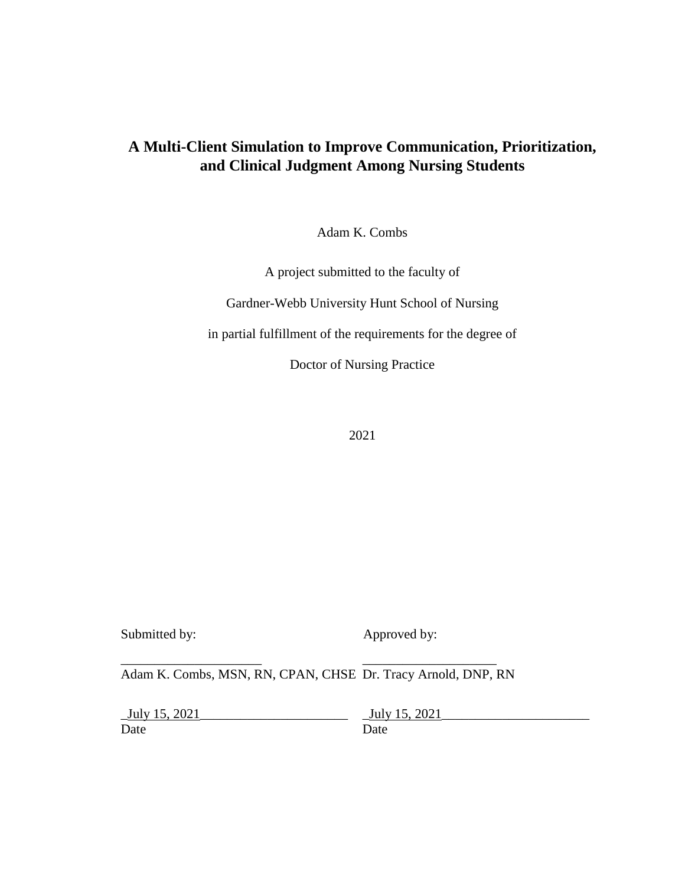# **A Multi-Client Simulation to Improve Communication, Prioritization, and Clinical Judgment Among Nursing Students**

Adam K. Combs

A project submitted to the faculty of

Gardner-Webb University Hunt School of Nursing

in partial fulfillment of the requirements for the degree of

Doctor of Nursing Practice

2021

Submitted by: Approved by:

Adam K. Combs, MSN, RN, CPAN, CHSE Dr. Tracy Arnold, DNP, RN

\_\_\_\_\_\_\_\_\_\_\_\_\_\_\_\_\_\_\_\_\_ \_\_\_\_\_\_\_\_\_\_\_\_\_\_\_\_\_\_\_\_

Date Date Date

\_July 15, 2021\_\_\_\_\_\_\_\_\_\_\_\_\_\_\_\_\_\_\_\_\_\_ \_July 15, 2021\_\_\_\_\_\_\_\_\_\_\_\_\_\_\_\_\_\_\_\_\_\_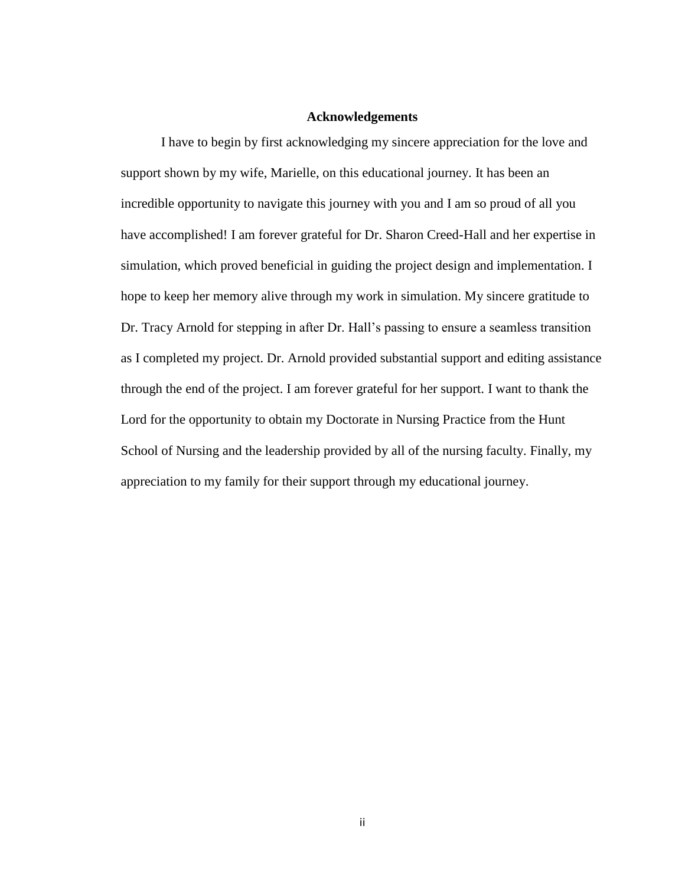#### **Acknowledgements**

I have to begin by first acknowledging my sincere appreciation for the love and support shown by my wife, Marielle, on this educational journey. It has been an incredible opportunity to navigate this journey with you and I am so proud of all you have accomplished! I am forever grateful for Dr. Sharon Creed-Hall and her expertise in simulation, which proved beneficial in guiding the project design and implementation. I hope to keep her memory alive through my work in simulation. My sincere gratitude to Dr. Tracy Arnold for stepping in after Dr. Hall's passing to ensure a seamless transition as I completed my project. Dr. Arnold provided substantial support and editing assistance through the end of the project. I am forever grateful for her support. I want to thank the Lord for the opportunity to obtain my Doctorate in Nursing Practice from the Hunt School of Nursing and the leadership provided by all of the nursing faculty. Finally, my appreciation to my family for their support through my educational journey.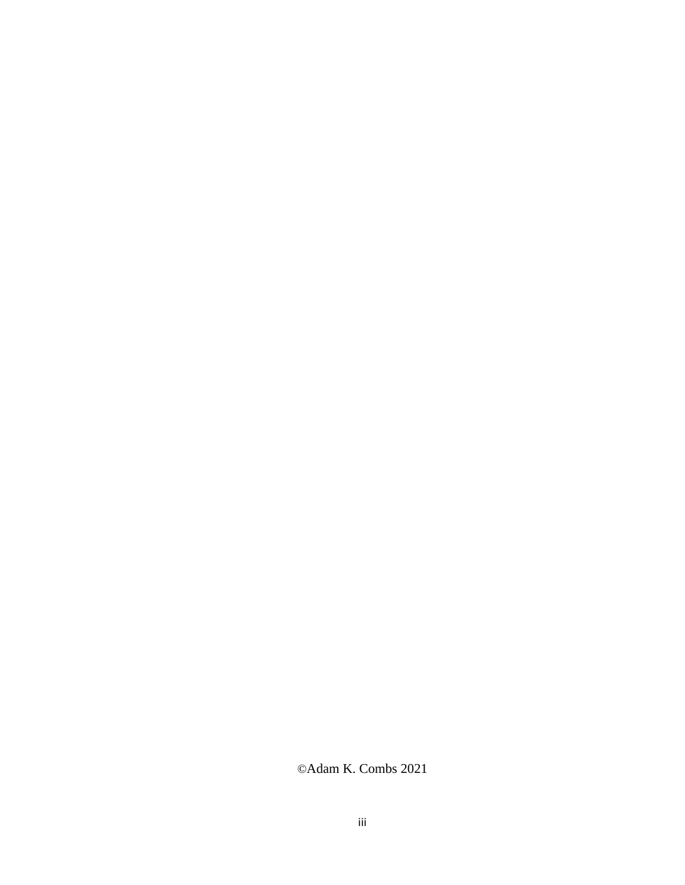©Adam K. Combs 2021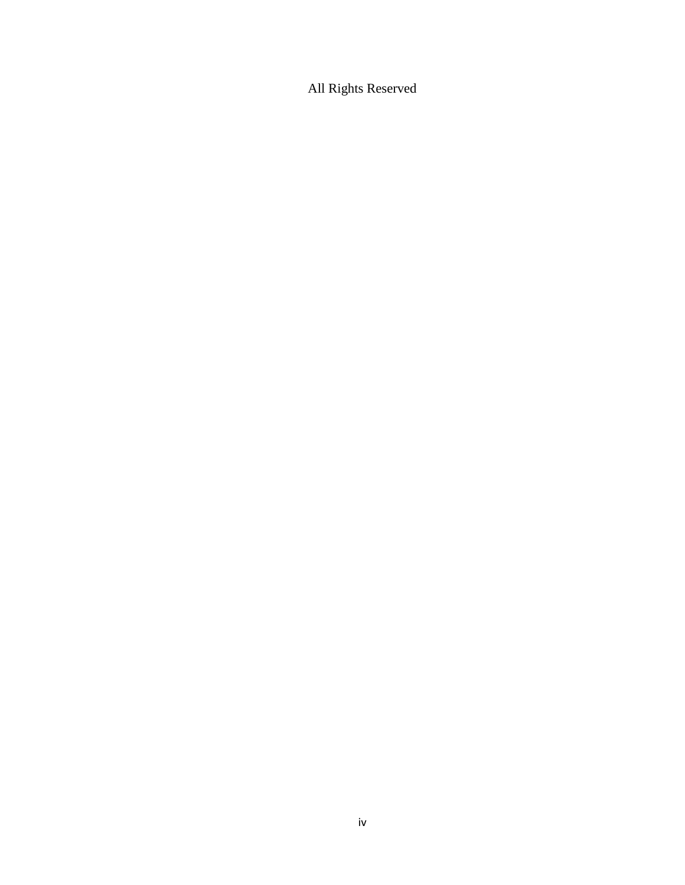All Rights Reserved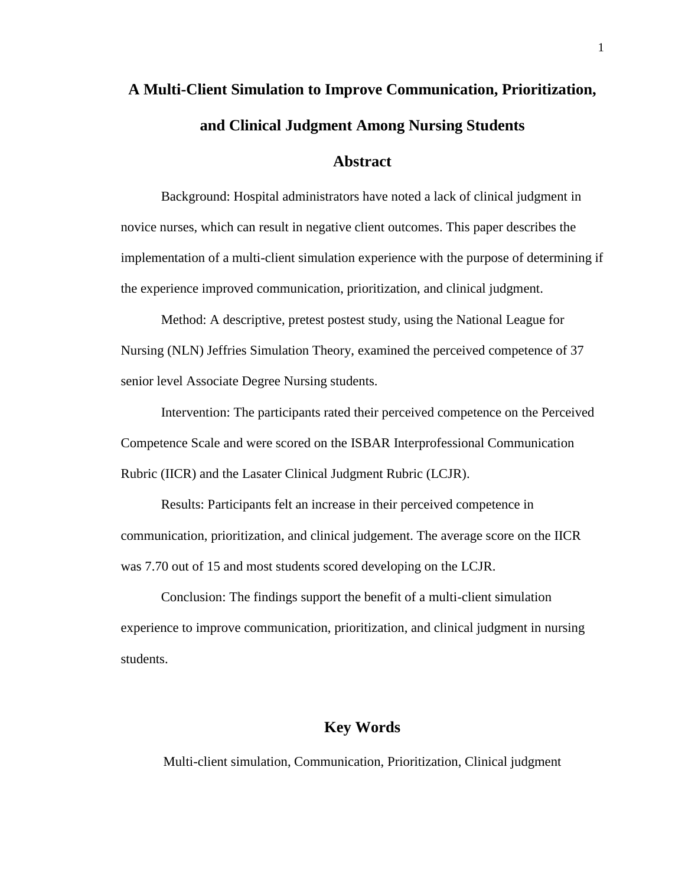# **A Multi-Client Simulation to Improve Communication, Prioritization, and Clinical Judgment Among Nursing Students**

## **Abstract**

Background: Hospital administrators have noted a lack of clinical judgment in novice nurses, which can result in negative client outcomes. This paper describes the implementation of a multi-client simulation experience with the purpose of determining if the experience improved communication, prioritization, and clinical judgment.

Method: A descriptive, pretest postest study, using the National League for Nursing (NLN) Jeffries Simulation Theory, examined the perceived competence of 37 senior level Associate Degree Nursing students.

Intervention: The participants rated their perceived competence on the Perceived Competence Scale and were scored on the ISBAR Interprofessional Communication Rubric (IICR) and the Lasater Clinical Judgment Rubric (LCJR).

Results: Participants felt an increase in their perceived competence in communication, prioritization, and clinical judgement. The average score on the IICR was 7.70 out of 15 and most students scored developing on the LCJR.

Conclusion: The findings support the benefit of a multi-client simulation experience to improve communication, prioritization, and clinical judgment in nursing students.

# **Key Words**

Multi-client simulation, Communication, Prioritization, Clinical judgment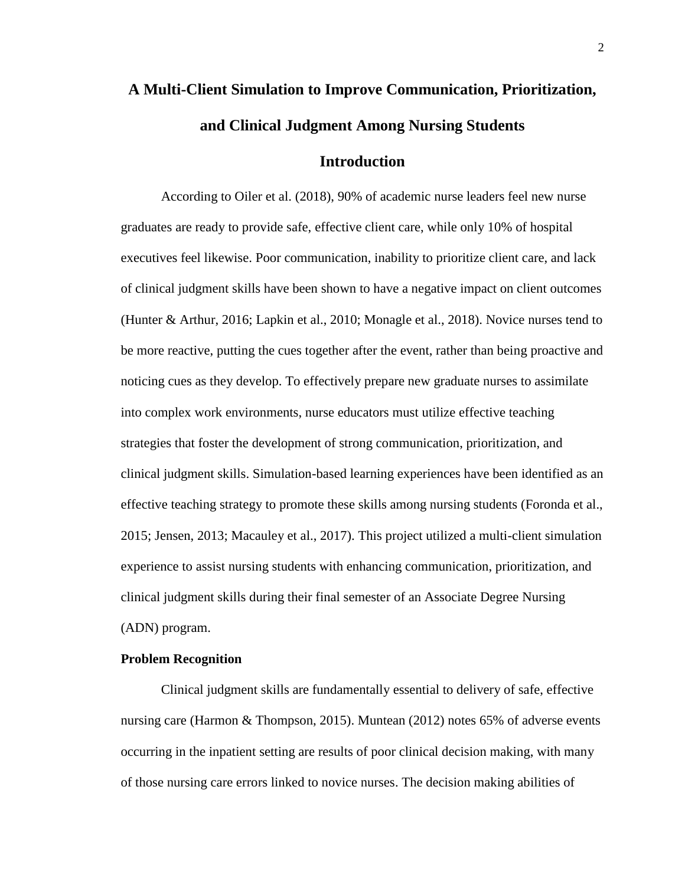# **A Multi-Client Simulation to Improve Communication, Prioritization, and Clinical Judgment Among Nursing Students**

# **Introduction**

According to Oiler et al. (2018), 90% of academic nurse leaders feel new nurse graduates are ready to provide safe, effective client care, while only 10% of hospital executives feel likewise. Poor communication, inability to prioritize client care, and lack of clinical judgment skills have been shown to have a negative impact on client outcomes (Hunter & Arthur, 2016; Lapkin et al., 2010; Monagle et al., 2018). Novice nurses tend to be more reactive, putting the cues together after the event, rather than being proactive and noticing cues as they develop. To effectively prepare new graduate nurses to assimilate into complex work environments, nurse educators must utilize effective teaching strategies that foster the development of strong communication, prioritization, and clinical judgment skills. Simulation-based learning experiences have been identified as an effective teaching strategy to promote these skills among nursing students (Foronda et al., 2015; Jensen, 2013; Macauley et al., 2017). This project utilized a multi-client simulation experience to assist nursing students with enhancing communication, prioritization, and clinical judgment skills during their final semester of an Associate Degree Nursing (ADN) program.

#### **Problem Recognition**

Clinical judgment skills are fundamentally essential to delivery of safe, effective nursing care (Harmon & Thompson, 2015). Muntean (2012) notes 65% of adverse events occurring in the inpatient setting are results of poor clinical decision making, with many of those nursing care errors linked to novice nurses. The decision making abilities of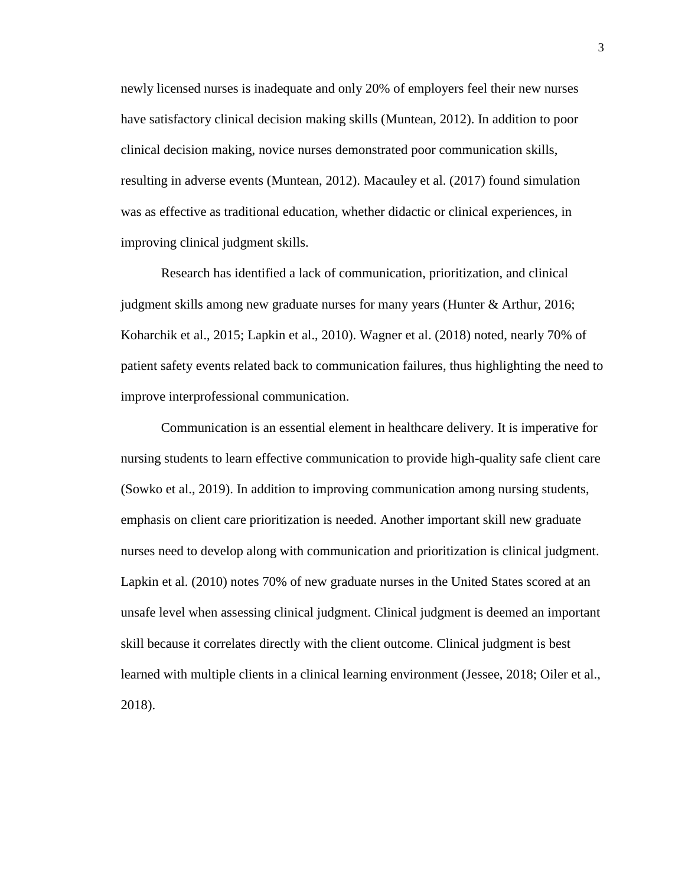newly licensed nurses is inadequate and only 20% of employers feel their new nurses have satisfactory clinical decision making skills (Muntean, 2012). In addition to poor clinical decision making, novice nurses demonstrated poor communication skills, resulting in adverse events (Muntean, 2012). Macauley et al. (2017) found simulation was as effective as traditional education, whether didactic or clinical experiences, in improving clinical judgment skills.

Research has identified a lack of communication, prioritization, and clinical judgment skills among new graduate nurses for many years (Hunter & Arthur, 2016; Koharchik et al., 2015; Lapkin et al., 2010). Wagner et al. (2018) noted, nearly 70% of patient safety events related back to communication failures, thus highlighting the need to improve interprofessional communication.

Communication is an essential element in healthcare delivery. It is imperative for nursing students to learn effective communication to provide high-quality safe client care (Sowko et al., 2019). In addition to improving communication among nursing students, emphasis on client care prioritization is needed. Another important skill new graduate nurses need to develop along with communication and prioritization is clinical judgment. Lapkin et al. (2010) notes 70% of new graduate nurses in the United States scored at an unsafe level when assessing clinical judgment. Clinical judgment is deemed an important skill because it correlates directly with the client outcome. Clinical judgment is best learned with multiple clients in a clinical learning environment (Jessee, 2018; Oiler et al., 2018).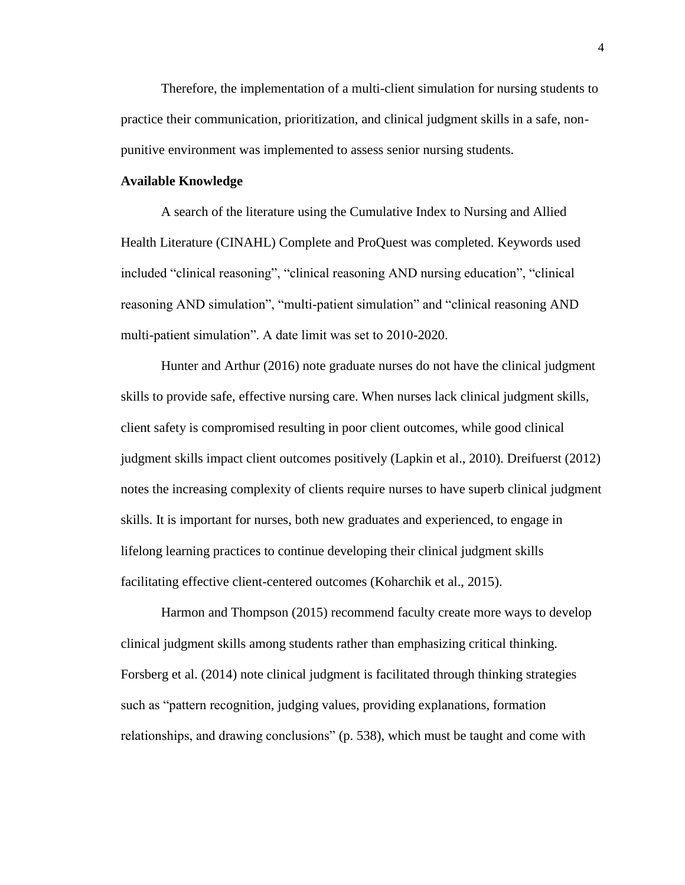Therefore, the implementation of a multi-client simulation for nursing students to practice their communication, prioritization, and clinical judgment skills in a safe, nonpunitive environment was implemented to assess senior nursing students.

#### **Available Knowledge**

A search of the literature using the Cumulative Index to Nursing and Allied Health Literature (CINAHL) Complete and ProQuest was completed. Keywords used included "clinical reasoning", "clinical reasoning AND nursing education", "clinical reasoning AND simulation", "multi-patient simulation" and "clinical reasoning AND multi-patient simulation". A date limit was set to 2010-2020.

Hunter and Arthur (2016) note graduate nurses do not have the clinical judgment skills to provide safe, effective nursing care. When nurses lack clinical judgment skills, client safety is compromised resulting in poor client outcomes, while good clinical judgment skills impact client outcomes positively (Lapkin et al., 2010). Dreifuerst (2012) notes the increasing complexity of clients require nurses to have superb clinical judgment skills. It is important for nurses, both new graduates and experienced, to engage in lifelong learning practices to continue developing their clinical judgment skills facilitating effective client-centered outcomes (Koharchik et al., 2015).

Harmon and Thompson (2015) recommend faculty create more ways to develop clinical judgment skills among students rather than emphasizing critical thinking. Forsberg et al. (2014) note clinical judgment is facilitated through thinking strategies such as "pattern recognition, judging values, providing explanations, formation relationships, and drawing conclusions" (p. 538), which must be taught and come with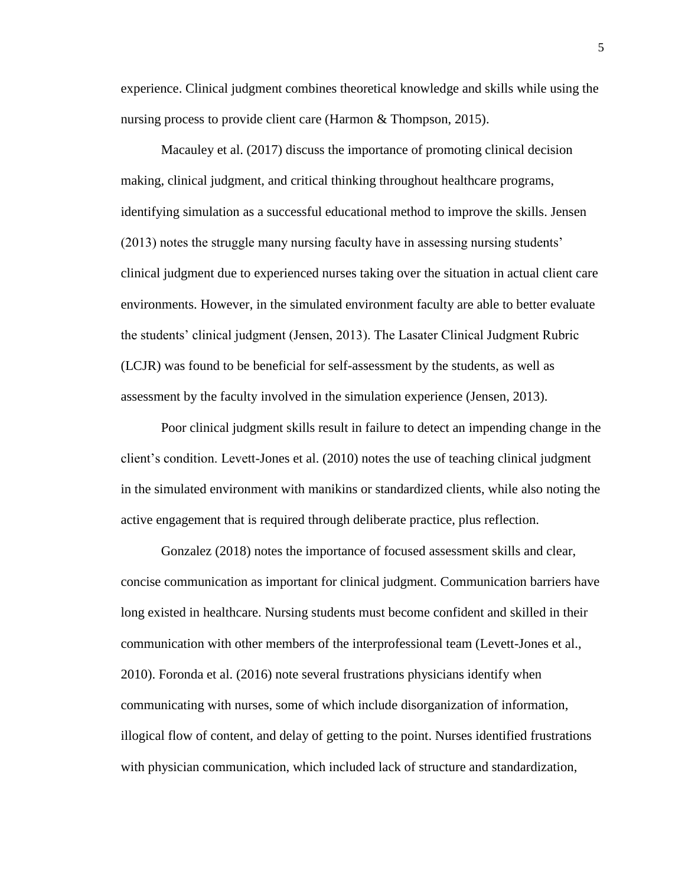experience. Clinical judgment combines theoretical knowledge and skills while using the nursing process to provide client care (Harmon & Thompson, 2015).

Macauley et al. (2017) discuss the importance of promoting clinical decision making, clinical judgment, and critical thinking throughout healthcare programs, identifying simulation as a successful educational method to improve the skills. Jensen (2013) notes the struggle many nursing faculty have in assessing nursing students' clinical judgment due to experienced nurses taking over the situation in actual client care environments. However, in the simulated environment faculty are able to better evaluate the students' clinical judgment (Jensen, 2013). The Lasater Clinical Judgment Rubric (LCJR) was found to be beneficial for self-assessment by the students, as well as assessment by the faculty involved in the simulation experience (Jensen, 2013).

Poor clinical judgment skills result in failure to detect an impending change in the client's condition. Levett-Jones et al. (2010) notes the use of teaching clinical judgment in the simulated environment with manikins or standardized clients, while also noting the active engagement that is required through deliberate practice, plus reflection.

Gonzalez (2018) notes the importance of focused assessment skills and clear, concise communication as important for clinical judgment. Communication barriers have long existed in healthcare. Nursing students must become confident and skilled in their communication with other members of the interprofessional team (Levett-Jones et al., 2010). Foronda et al. (2016) note several frustrations physicians identify when communicating with nurses, some of which include disorganization of information, illogical flow of content, and delay of getting to the point. Nurses identified frustrations with physician communication, which included lack of structure and standardization,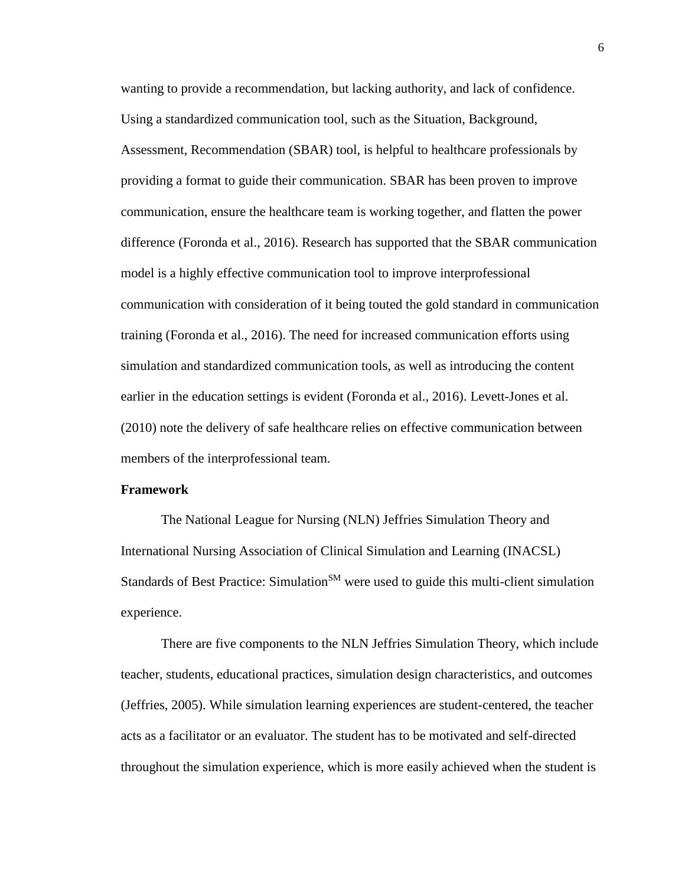wanting to provide a recommendation, but lacking authority, and lack of confidence. Using a standardized communication tool, such as the Situation, Background, Assessment, Recommendation (SBAR) tool, is helpful to healthcare professionals by providing a format to guide their communication. SBAR has been proven to improve communication, ensure the healthcare team is working together, and flatten the power difference (Foronda et al., 2016). Research has supported that the SBAR communication model is a highly effective communication tool to improve interprofessional communication with consideration of it being touted the gold standard in communication training (Foronda et al., 2016). The need for increased communication efforts using simulation and standardized communication tools, as well as introducing the content earlier in the education settings is evident (Foronda et al., 2016). Levett-Jones et al. (2010) note the delivery of safe healthcare relies on effective communication between members of the interprofessional team.

#### **Framework**

The National League for Nursing (NLN) Jeffries Simulation Theory and International Nursing Association of Clinical Simulation and Learning (INACSL) Standards of Best Practice: Simulation<sup>SM</sup> were used to guide this multi-client simulation experience.

There are five components to the NLN Jeffries Simulation Theory, which include teacher, students, educational practices, simulation design characteristics, and outcomes (Jeffries, 2005). While simulation learning experiences are student-centered, the teacher acts as a facilitator or an evaluator. The student has to be motivated and self-directed throughout the simulation experience, which is more easily achieved when the student is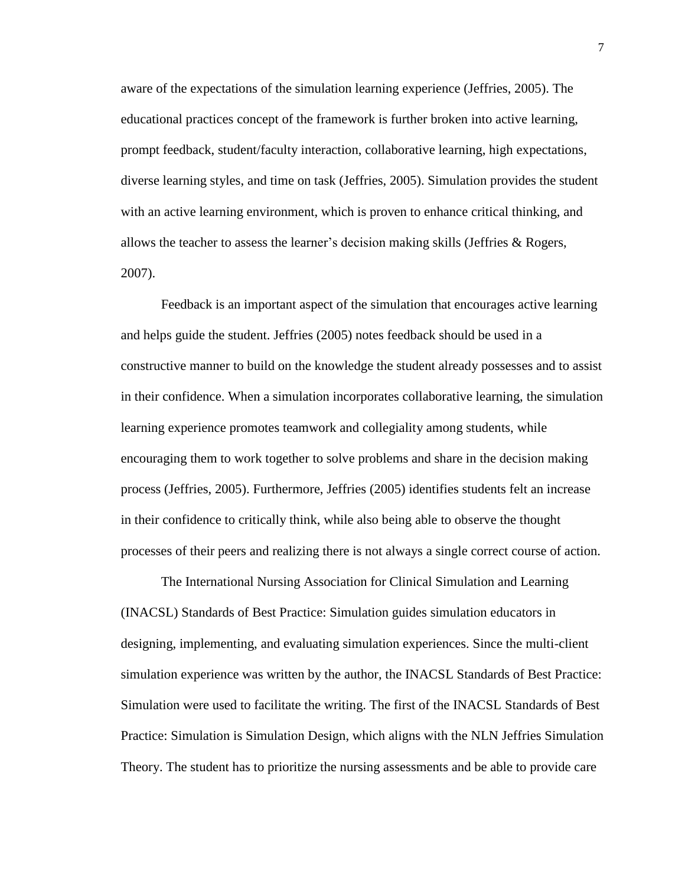aware of the expectations of the simulation learning experience (Jeffries, 2005). The educational practices concept of the framework is further broken into active learning, prompt feedback, student/faculty interaction, collaborative learning, high expectations, diverse learning styles, and time on task (Jeffries, 2005). Simulation provides the student with an active learning environment, which is proven to enhance critical thinking, and allows the teacher to assess the learner's decision making skills (Jeffries & Rogers, 2007).

Feedback is an important aspect of the simulation that encourages active learning and helps guide the student. Jeffries (2005) notes feedback should be used in a constructive manner to build on the knowledge the student already possesses and to assist in their confidence. When a simulation incorporates collaborative learning, the simulation learning experience promotes teamwork and collegiality among students, while encouraging them to work together to solve problems and share in the decision making process (Jeffries, 2005). Furthermore, Jeffries (2005) identifies students felt an increase in their confidence to critically think, while also being able to observe the thought processes of their peers and realizing there is not always a single correct course of action.

The International Nursing Association for Clinical Simulation and Learning (INACSL) Standards of Best Practice: Simulation guides simulation educators in designing, implementing, and evaluating simulation experiences. Since the multi-client simulation experience was written by the author, the INACSL Standards of Best Practice: Simulation were used to facilitate the writing. The first of the INACSL Standards of Best Practice: Simulation is Simulation Design, which aligns with the NLN Jeffries Simulation Theory. The student has to prioritize the nursing assessments and be able to provide care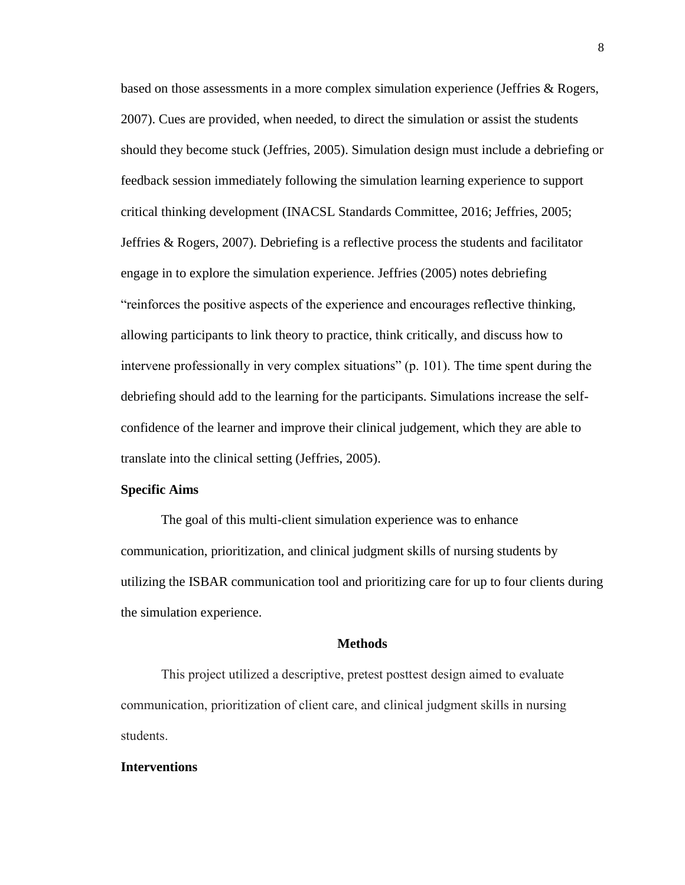based on those assessments in a more complex simulation experience (Jeffries & Rogers, 2007). Cues are provided, when needed, to direct the simulation or assist the students should they become stuck (Jeffries, 2005). Simulation design must include a debriefing or feedback session immediately following the simulation learning experience to support critical thinking development (INACSL Standards Committee, 2016; Jeffries, 2005; Jeffries & Rogers, 2007). Debriefing is a reflective process the students and facilitator engage in to explore the simulation experience. Jeffries (2005) notes debriefing "reinforces the positive aspects of the experience and encourages reflective thinking, allowing participants to link theory to practice, think critically, and discuss how to intervene professionally in very complex situations" (p. 101). The time spent during the debriefing should add to the learning for the participants. Simulations increase the selfconfidence of the learner and improve their clinical judgement, which they are able to translate into the clinical setting (Jeffries, 2005).

#### **Specific Aims**

The goal of this multi-client simulation experience was to enhance communication, prioritization, and clinical judgment skills of nursing students by utilizing the ISBAR communication tool and prioritizing care for up to four clients during the simulation experience.

#### **Methods**

This project utilized a descriptive, pretest posttest design aimed to evaluate communication, prioritization of client care, and clinical judgment skills in nursing students.

#### **Interventions**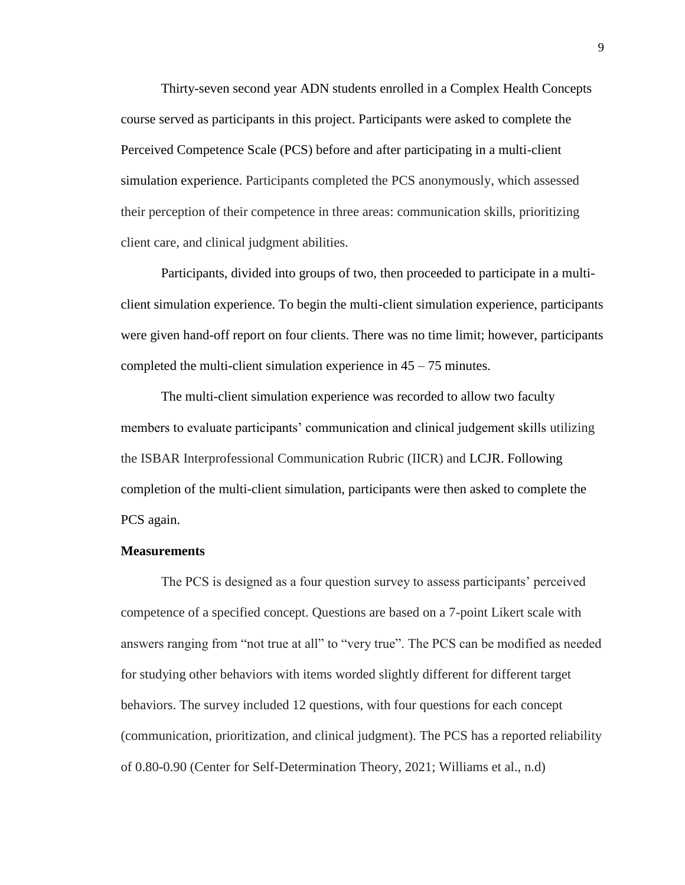Thirty-seven second year ADN students enrolled in a Complex Health Concepts course served as participants in this project. Participants were asked to complete the Perceived Competence Scale (PCS) before and after participating in a multi-client simulation experience. Participants completed the PCS anonymously, which assessed their perception of their competence in three areas: communication skills, prioritizing client care, and clinical judgment abilities.

Participants, divided into groups of two, then proceeded to participate in a multiclient simulation experience. To begin the multi-client simulation experience, participants were given hand-off report on four clients. There was no time limit; however, participants completed the multi-client simulation experience in  $45 - 75$  minutes.

The multi-client simulation experience was recorded to allow two faculty members to evaluate participants' communication and clinical judgement skills utilizing the ISBAR Interprofessional Communication Rubric (IICR) and LCJR. Following completion of the multi-client simulation, participants were then asked to complete the PCS again.

#### **Measurements**

The PCS is designed as a four question survey to assess participants' perceived competence of a specified concept. Questions are based on a 7-point Likert scale with answers ranging from "not true at all" to "very true". The PCS can be modified as needed for studying other behaviors with items worded slightly different for different target behaviors. The survey included 12 questions, with four questions for each concept (communication, prioritization, and clinical judgment). The PCS has a reported reliability of 0.80-0.90 (Center for Self-Determination Theory, 2021; Williams et al., n.d)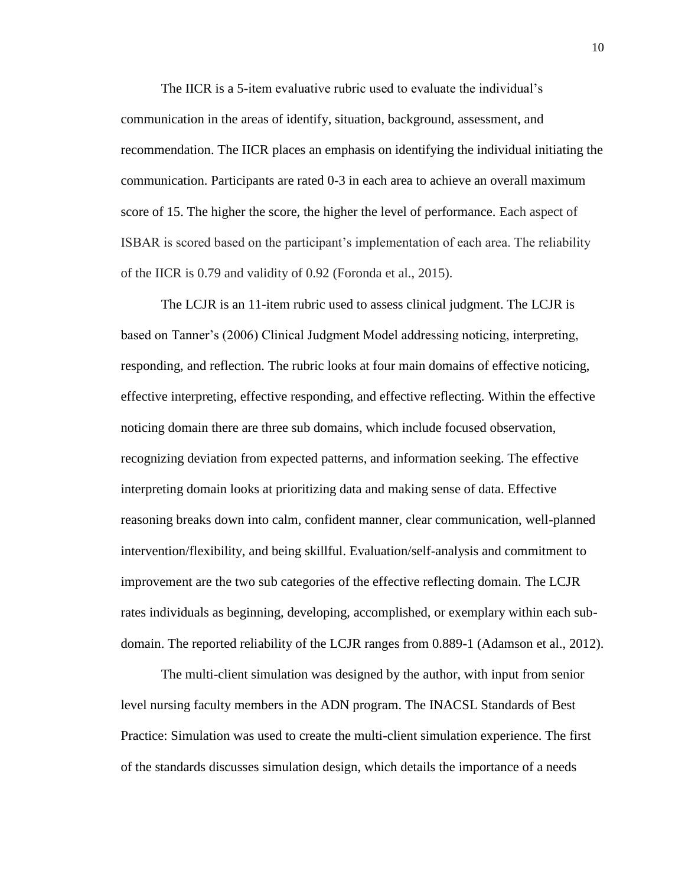The IICR is a 5-item evaluative rubric used to evaluate the individual's communication in the areas of identify, situation, background, assessment, and recommendation. The IICR places an emphasis on identifying the individual initiating the communication. Participants are rated 0-3 in each area to achieve an overall maximum score of 15. The higher the score, the higher the level of performance. Each aspect of ISBAR is scored based on the participant's implementation of each area. The reliability of the IICR is 0.79 and validity of 0.92 (Foronda et al., 2015).

The LCJR is an 11-item rubric used to assess clinical judgment. The LCJR is based on Tanner's (2006) Clinical Judgment Model addressing noticing, interpreting, responding, and reflection. The rubric looks at four main domains of effective noticing, effective interpreting, effective responding, and effective reflecting. Within the effective noticing domain there are three sub domains, which include focused observation, recognizing deviation from expected patterns, and information seeking. The effective interpreting domain looks at prioritizing data and making sense of data. Effective reasoning breaks down into calm, confident manner, clear communication, well-planned intervention/flexibility, and being skillful. Evaluation/self-analysis and commitment to improvement are the two sub categories of the effective reflecting domain. The LCJR rates individuals as beginning, developing, accomplished, or exemplary within each subdomain. The reported reliability of the LCJR ranges from 0.889-1 (Adamson et al., 2012).

The multi-client simulation was designed by the author, with input from senior level nursing faculty members in the ADN program. The INACSL Standards of Best Practice: Simulation was used to create the multi-client simulation experience. The first of the standards discusses simulation design, which details the importance of a needs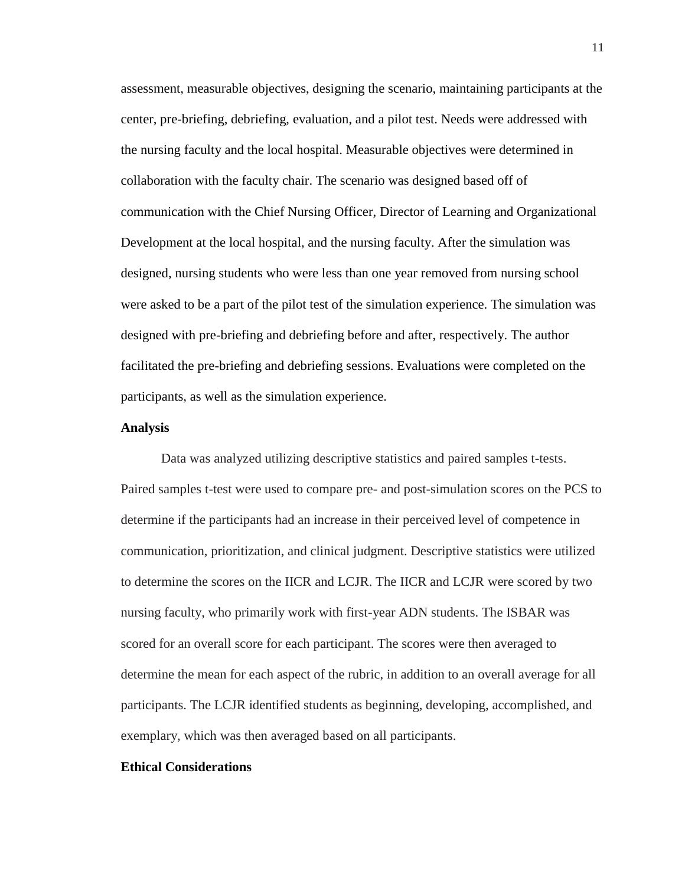assessment, measurable objectives, designing the scenario, maintaining participants at the center, pre-briefing, debriefing, evaluation, and a pilot test. Needs were addressed with the nursing faculty and the local hospital. Measurable objectives were determined in collaboration with the faculty chair. The scenario was designed based off of communication with the Chief Nursing Officer, Director of Learning and Organizational Development at the local hospital, and the nursing faculty. After the simulation was designed, nursing students who were less than one year removed from nursing school were asked to be a part of the pilot test of the simulation experience. The simulation was designed with pre-briefing and debriefing before and after, respectively. The author facilitated the pre-briefing and debriefing sessions. Evaluations were completed on the participants, as well as the simulation experience.

#### **Analysis**

Data was analyzed utilizing descriptive statistics and paired samples t-tests. Paired samples t-test were used to compare pre- and post-simulation scores on the PCS to determine if the participants had an increase in their perceived level of competence in communication, prioritization, and clinical judgment. Descriptive statistics were utilized to determine the scores on the IICR and LCJR. The IICR and LCJR were scored by two nursing faculty, who primarily work with first-year ADN students. The ISBAR was scored for an overall score for each participant. The scores were then averaged to determine the mean for each aspect of the rubric, in addition to an overall average for all participants. The LCJR identified students as beginning, developing, accomplished, and exemplary, which was then averaged based on all participants.

#### **Ethical Considerations**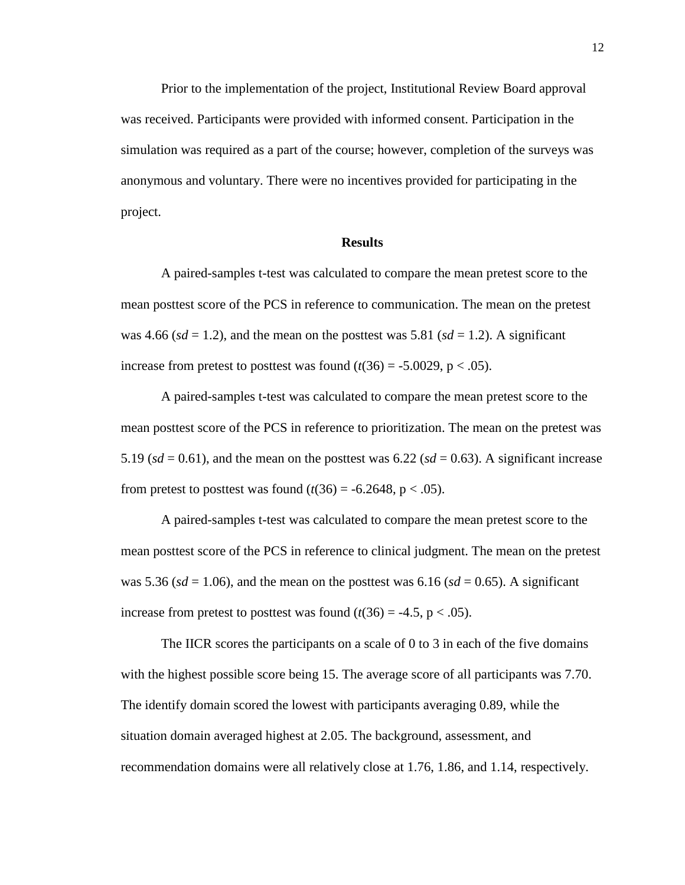Prior to the implementation of the project, Institutional Review Board approval was received. Participants were provided with informed consent. Participation in the simulation was required as a part of the course; however, completion of the surveys was anonymous and voluntary. There were no incentives provided for participating in the project.

#### **Results**

A paired-samples t-test was calculated to compare the mean pretest score to the mean posttest score of the PCS in reference to communication. The mean on the pretest was 4.66 ( $sd = 1.2$ ), and the mean on the posttest was 5.81 ( $sd = 1.2$ ). A significant increase from pretest to posttest was found  $(t(36) = -5.0029, p < .05)$ .

A paired-samples t-test was calculated to compare the mean pretest score to the mean posttest score of the PCS in reference to prioritization. The mean on the pretest was 5.19 ( $sd = 0.61$ ), and the mean on the posttest was  $6.22$  ( $sd = 0.63$ ). A significant increase from pretest to posttest was found  $(t(36) = -6.2648, p < .05)$ .

A paired-samples t-test was calculated to compare the mean pretest score to the mean posttest score of the PCS in reference to clinical judgment. The mean on the pretest was 5.36 ( $sd = 1.06$ ), and the mean on the posttest was 6.16 ( $sd = 0.65$ ). A significant increase from pretest to posttest was found  $(t(36) = -4.5, p < .05)$ .

The IICR scores the participants on a scale of 0 to 3 in each of the five domains with the highest possible score being 15. The average score of all participants was 7.70. The identify domain scored the lowest with participants averaging 0.89, while the situation domain averaged highest at 2.05. The background, assessment, and recommendation domains were all relatively close at 1.76, 1.86, and 1.14, respectively.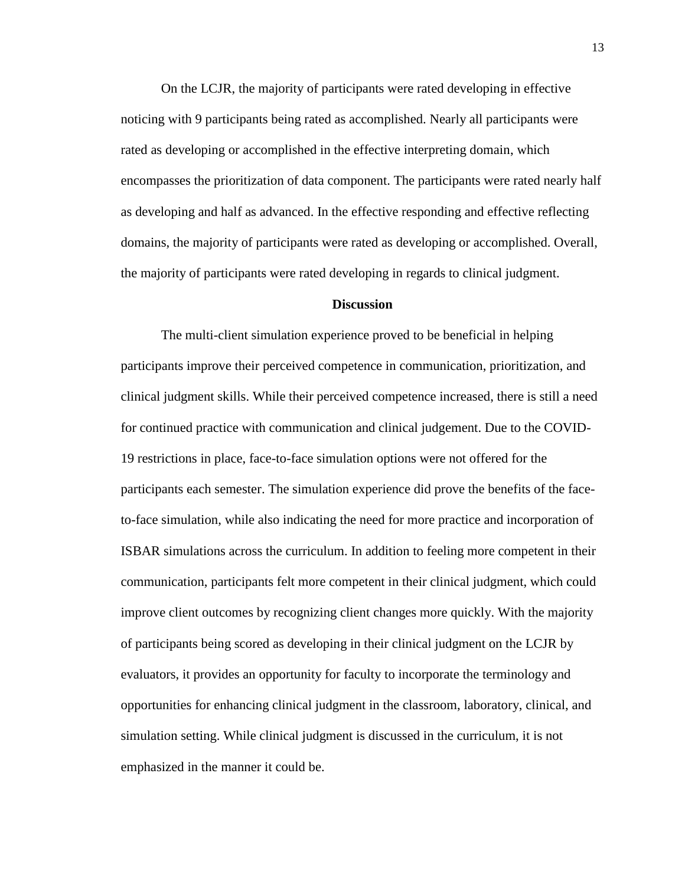On the LCJR, the majority of participants were rated developing in effective noticing with 9 participants being rated as accomplished. Nearly all participants were rated as developing or accomplished in the effective interpreting domain, which encompasses the prioritization of data component. The participants were rated nearly half as developing and half as advanced. In the effective responding and effective reflecting domains, the majority of participants were rated as developing or accomplished. Overall, the majority of participants were rated developing in regards to clinical judgment.

#### **Discussion**

The multi-client simulation experience proved to be beneficial in helping participants improve their perceived competence in communication, prioritization, and clinical judgment skills. While their perceived competence increased, there is still a need for continued practice with communication and clinical judgement. Due to the COVID-19 restrictions in place, face-to-face simulation options were not offered for the participants each semester. The simulation experience did prove the benefits of the faceto-face simulation, while also indicating the need for more practice and incorporation of ISBAR simulations across the curriculum. In addition to feeling more competent in their communication, participants felt more competent in their clinical judgment, which could improve client outcomes by recognizing client changes more quickly. With the majority of participants being scored as developing in their clinical judgment on the LCJR by evaluators, it provides an opportunity for faculty to incorporate the terminology and opportunities for enhancing clinical judgment in the classroom, laboratory, clinical, and simulation setting. While clinical judgment is discussed in the curriculum, it is not emphasized in the manner it could be.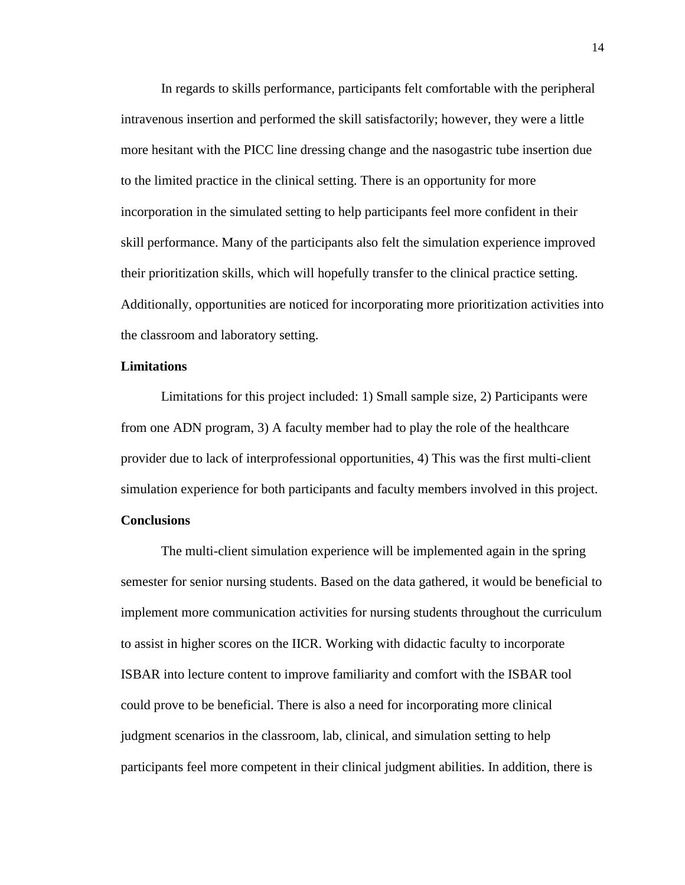In regards to skills performance, participants felt comfortable with the peripheral intravenous insertion and performed the skill satisfactorily; however, they were a little more hesitant with the PICC line dressing change and the nasogastric tube insertion due to the limited practice in the clinical setting. There is an opportunity for more incorporation in the simulated setting to help participants feel more confident in their skill performance. Many of the participants also felt the simulation experience improved their prioritization skills, which will hopefully transfer to the clinical practice setting. Additionally, opportunities are noticed for incorporating more prioritization activities into the classroom and laboratory setting.

#### **Limitations**

Limitations for this project included: 1) Small sample size, 2) Participants were from one ADN program, 3) A faculty member had to play the role of the healthcare provider due to lack of interprofessional opportunities, 4) This was the first multi-client simulation experience for both participants and faculty members involved in this project.

### **Conclusions**

The multi-client simulation experience will be implemented again in the spring semester for senior nursing students. Based on the data gathered, it would be beneficial to implement more communication activities for nursing students throughout the curriculum to assist in higher scores on the IICR. Working with didactic faculty to incorporate ISBAR into lecture content to improve familiarity and comfort with the ISBAR tool could prove to be beneficial. There is also a need for incorporating more clinical judgment scenarios in the classroom, lab, clinical, and simulation setting to help participants feel more competent in their clinical judgment abilities. In addition, there is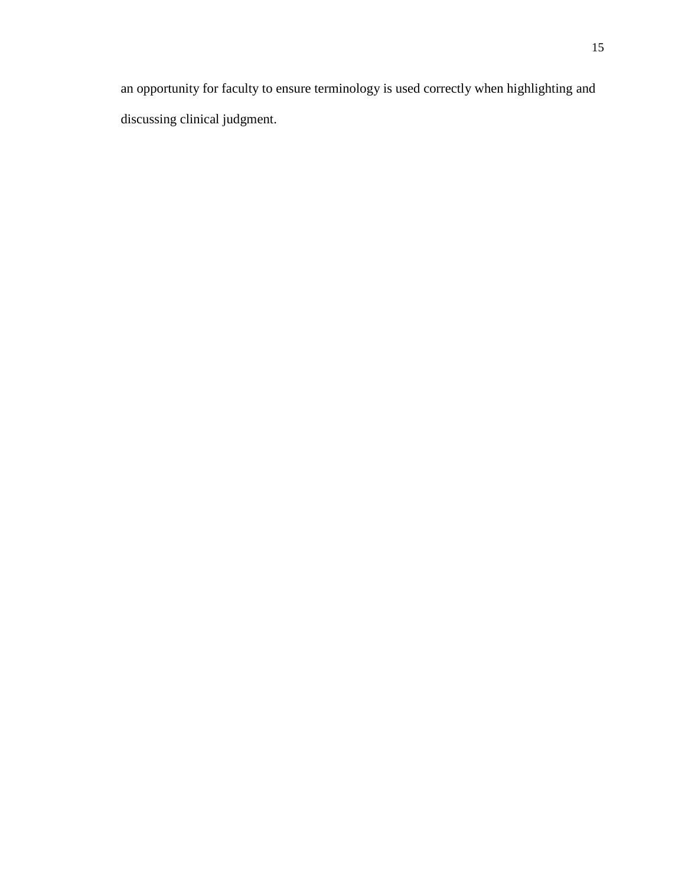an opportunity for faculty to ensure terminology is used correctly when highlighting and discussing clinical judgment.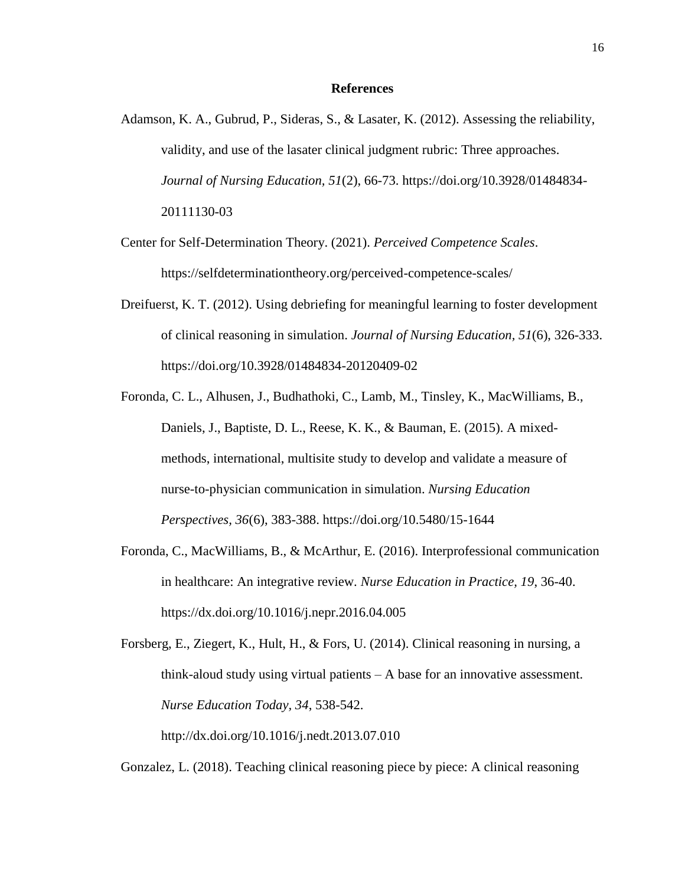#### **References**

- Adamson, K. A., Gubrud, P., Sideras, S., & Lasater, K. (2012). Assessing the reliability, validity, and use of the lasater clinical judgment rubric: Three approaches. *Journal of Nursing Education, 51*(2), 66-73. https://doi.org/10.3928/01484834- 20111130-03
- Center for Self-Determination Theory. (2021). *Perceived Competence Scales*. https://selfdeterminationtheory.org/perceived-competence-scales/
- Dreifuerst, K. T. (2012). Using debriefing for meaningful learning to foster development of clinical reasoning in simulation. *Journal of Nursing Education, 51*(6), 326-333. https://doi.org/10.3928/01484834-20120409-02
- Foronda, C. L., Alhusen, J., Budhathoki, C., Lamb, M., Tinsley, K., MacWilliams, B., Daniels, J., Baptiste, D. L., Reese, K. K., & Bauman, E. (2015). A mixedmethods, international, multisite study to develop and validate a measure of nurse-to-physician communication in simulation. *Nursing Education Perspectives, 36*(6), 383-388. https://doi.org/10.5480/15-1644
- Foronda, C., MacWilliams, B., & McArthur, E. (2016). Interprofessional communication in healthcare: An integrative review. *Nurse Education in Practice, 19*, 36-40. https://dx.doi.org/10.1016/j.nepr.2016.04.005

Forsberg, E., Ziegert, K., Hult, H., & Fors, U. (2014). Clinical reasoning in nursing, a think-aloud study using virtual patients – A base for an innovative assessment. *Nurse Education Today, 34*, 538-542.

http://dx.doi.org/10.1016/j.nedt.2013.07.010

Gonzalez, L. (2018). Teaching clinical reasoning piece by piece: A clinical reasoning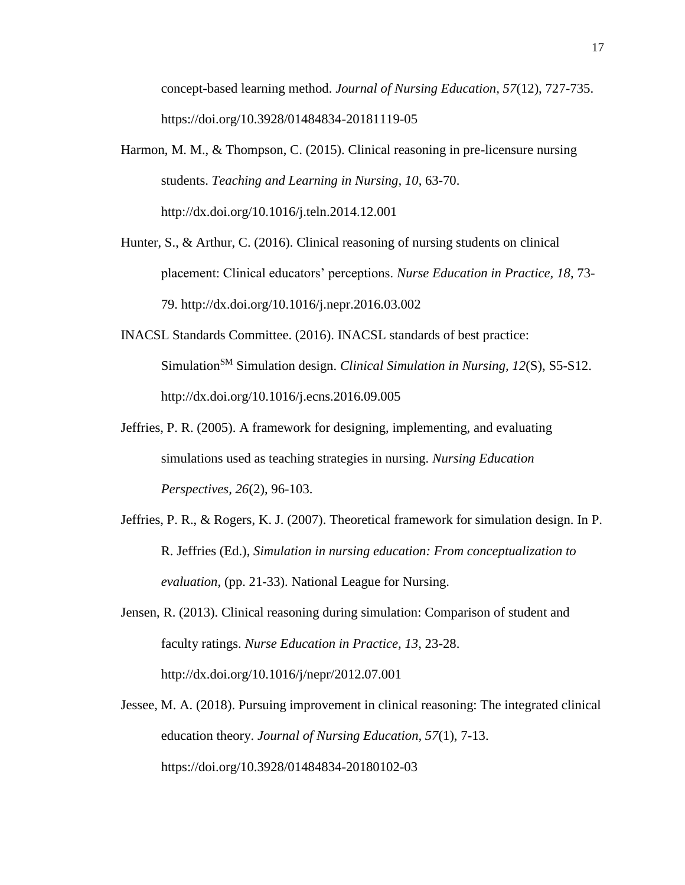concept-based learning method. *Journal of Nursing Education, 57*(12), 727-735. https://doi.org/10.3928/01484834-20181119-05

- Harmon, M. M., & Thompson, C. (2015). Clinical reasoning in pre-licensure nursing students. *Teaching and Learning in Nursing, 10*, 63-70. http://dx.doi.org/10.1016/j.teln.2014.12.001
- Hunter, S., & Arthur, C. (2016). Clinical reasoning of nursing students on clinical placement: Clinical educators' perceptions. *Nurse Education in Practice, 18*, 73- 79. http://dx.doi.org/10.1016/j.nepr.2016.03.002
- INACSL Standards Committee. (2016). INACSL standards of best practice: Simulation<sup>SM</sup> Simulation design. *Clinical Simulation in Nursing, 12(S), S5-S12.* http://dx.doi.org/10.1016/j.ecns.2016.09.005
- Jeffries, P. R. (2005). A framework for designing, implementing, and evaluating simulations used as teaching strategies in nursing. *Nursing Education Perspectives, 26*(2), 96-103.
- Jeffries, P. R., & Rogers, K. J. (2007). Theoretical framework for simulation design. In P. R. Jeffries (Ed.), *Simulation in nursing education: From conceptualization to evaluation*, (pp. 21-33). National League for Nursing.
- Jensen, R. (2013). Clinical reasoning during simulation: Comparison of student and faculty ratings. *Nurse Education in Practice, 13*, 23-28. http://dx.doi.org/10.1016/j/nepr/2012.07.001
- Jessee, M. A. (2018). Pursuing improvement in clinical reasoning: The integrated clinical education theory. *Journal of Nursing Education, 57*(1), 7-13. https://doi.org/10.3928/01484834-20180102-03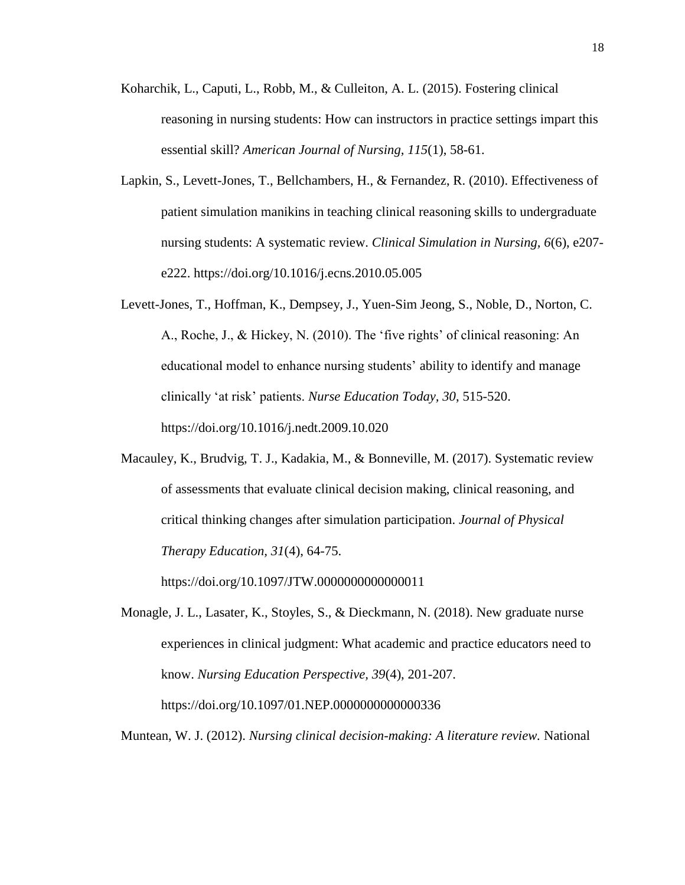- Koharchik, L., Caputi, L., Robb, M., & Culleiton, A. L. (2015). Fostering clinical reasoning in nursing students: How can instructors in practice settings impart this essential skill? *American Journal of Nursing, 115*(1), 58-61.
- Lapkin, S., Levett-Jones, T., Bellchambers, H., & Fernandez, R. (2010). Effectiveness of patient simulation manikins in teaching clinical reasoning skills to undergraduate nursing students: A systematic review. *Clinical Simulation in Nursing, 6*(6), e207 e222. https://doi.org/10.1016/j.ecns.2010.05.005
- Levett-Jones, T., Hoffman, K., Dempsey, J., Yuen-Sim Jeong, S., Noble, D., Norton, C. A., Roche, J., & Hickey, N. (2010). The 'five rights' of clinical reasoning: An educational model to enhance nursing students' ability to identify and manage clinically 'at risk' patients. *Nurse Education Today, 30*, 515-520. https://doi.org/10.1016/j.nedt.2009.10.020
- Macauley, K., Brudvig, T. J., Kadakia, M., & Bonneville, M. (2017). Systematic review of assessments that evaluate clinical decision making, clinical reasoning, and critical thinking changes after simulation participation. *Journal of Physical Therapy Education, 31*(4), 64-75.

https://doi.org/10.1097/JTW.0000000000000011

Monagle, J. L., Lasater, K., Stoyles, S., & Dieckmann, N. (2018). New graduate nurse experiences in clinical judgment: What academic and practice educators need to know. *Nursing Education Perspective, 39*(4), 201-207. https://doi.org/10.1097/01.NEP.0000000000000336

Muntean, W. J. (2012). *Nursing clinical decision-making: A literature review.* National